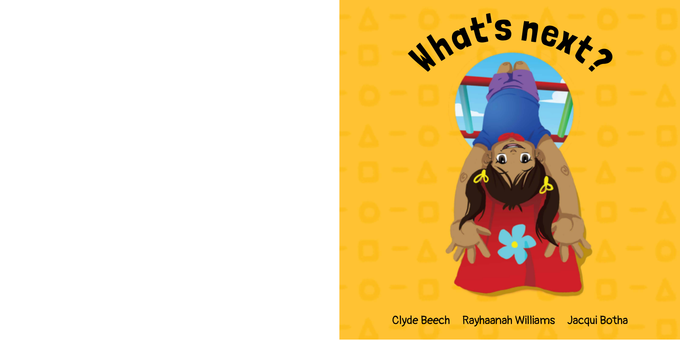

Clyde Beech Rayhaanah Williams Jacqui Botha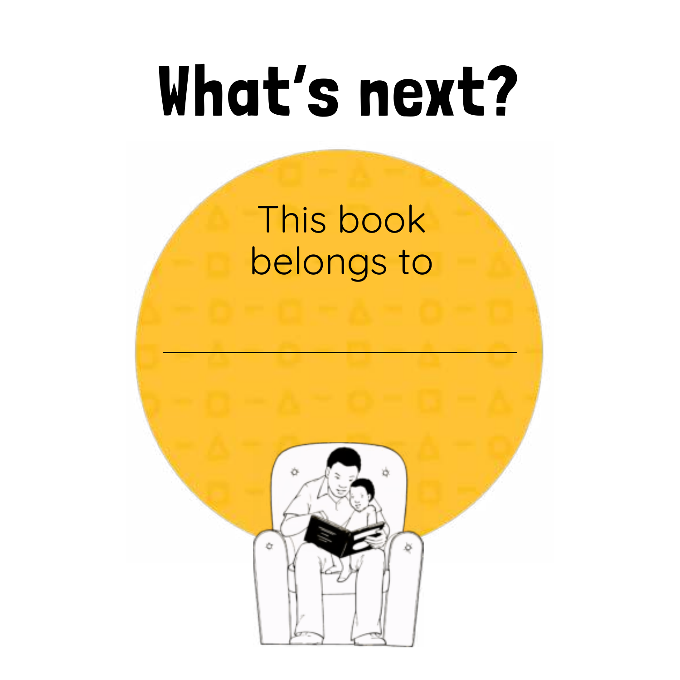## What's next?

### This book belongs to

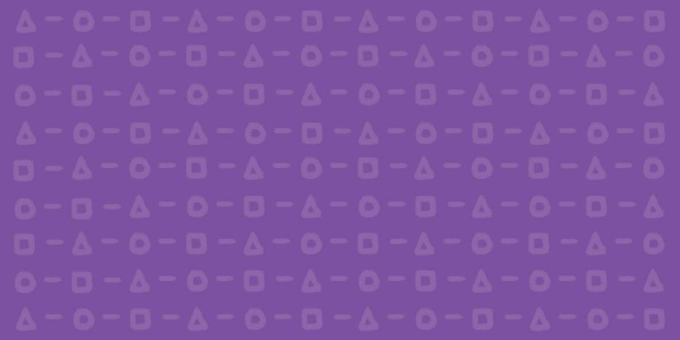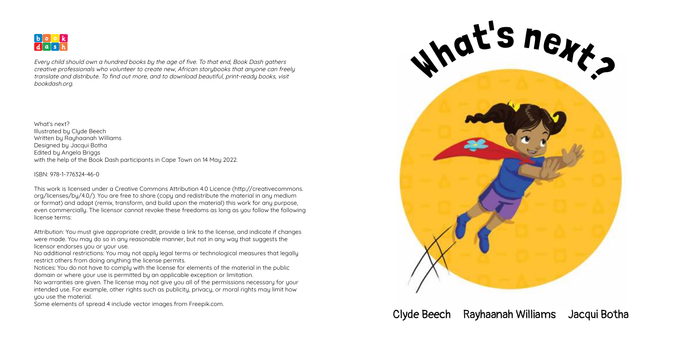Clyde Beech Rayhaanah Williams Jacqui Botha



Every child should own a hundred books by the age of five. To that end, Book Dash gathers creative professionals who volunteer to create new, African storybooks that anyone can freely translate and distribute. To find out more, and to download beautiful, print-ready books, visit [bookdash.org](http://bookdash.org).

What's next? Illustrated by Clyde Beech Written by Rayhaanah Williams Designed by Jacqui Botha Edited by Angela Briggs with the help of the Book Dash participants in Cape Town on 14 May 2022.

ISBN: 978-1-776324-46-0

No warranties are given. The license may not give you all of the permissions necessary for your intended use. For example, other rights such as publicity, privacy, or moral rights may limit how uou use the material.

This work is licensed under a Creative Commons Attribution 4.0 Licence (http://creativecommons. org/licenses/by/4.0/). You are free to share (copy and redistribute the material in any medium or format) and adapt (remix, transform, and build upon the material) this work for any purpose, even commercially. The licensor cannot revoke these freedoms as long as you follow the following license terms:

Attribution: You must give appropriate credit, provide a link to the license, and indicate if changes were made. You may do so in any reasonable manner, but not in any way that suggests the licensor endorses you or your use.

No additional restrictions: You may not apply legal terms or technological measures that legally restrict others from doing anything the license permits.

Notices: You do not have to comply with the license for elements of the material in the public domain or where your use is permitted by an applicable exception or limitation.

Some elements of spread 4 include vector images from Freepik.com.

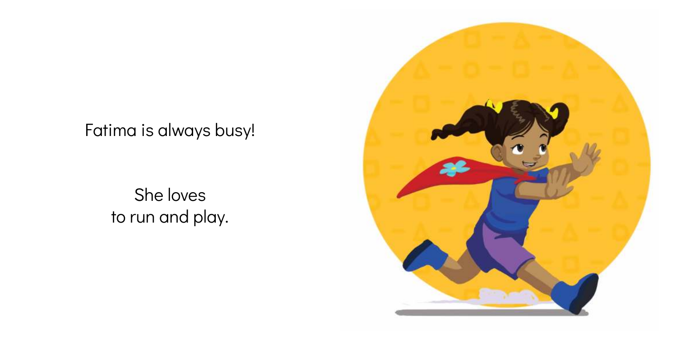## Fatima is always busy!

She loves to run and play.

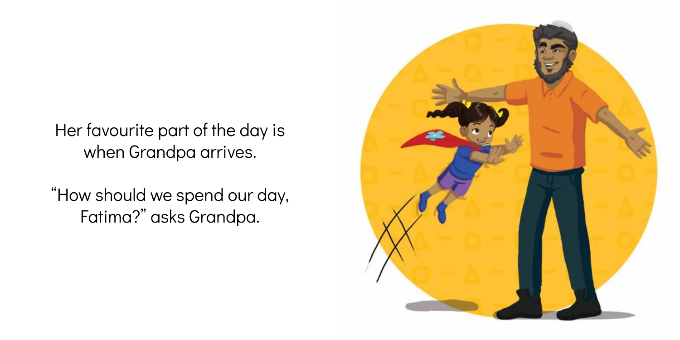Her favourite part of the day is when Grandpa arrives.

"How should we spend our day, Fatima?" asks Grandpa.

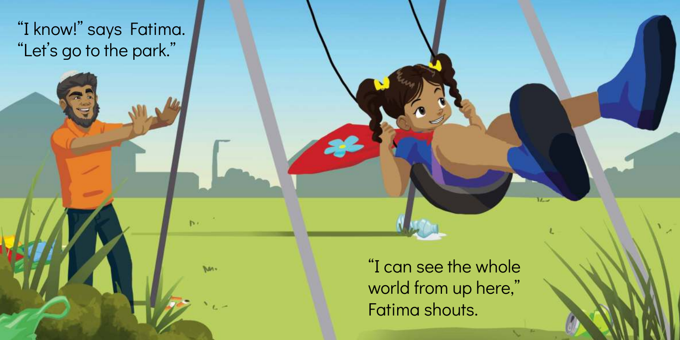"I know!" says Fatima. "Let's go to the park."

b.

Man-

"I can see the whole world from up here," Fatima shouts.

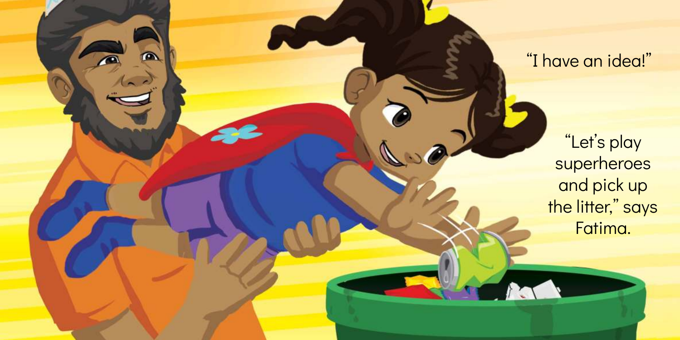

#### "I have an idea!"

"Let's play superheroes and pick up the litter," says Fatima.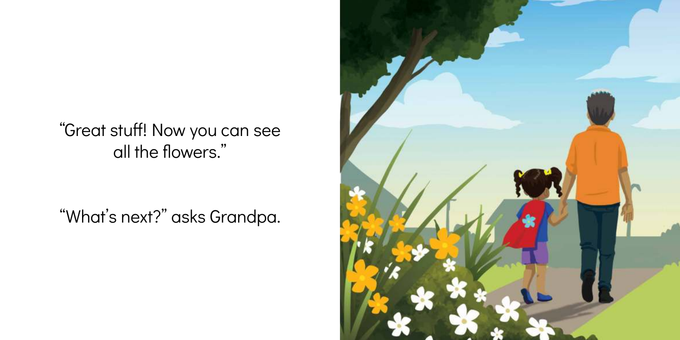#### "Great stuff! Now you can see all the flowers."

"What's next?" asks Grandpa.

![](_page_8_Picture_2.jpeg)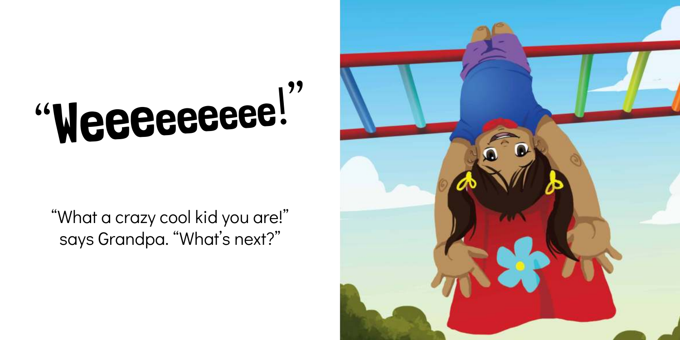# "Weeeeeee!"

"What a crazy cool kid you are!" says Grandpa. "What's next?"

![](_page_9_Picture_2.jpeg)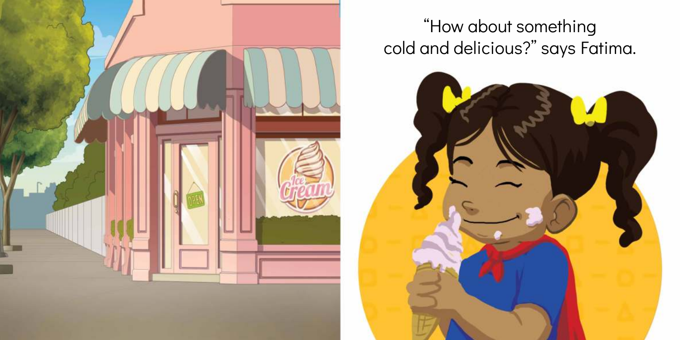![](_page_10_Picture_0.jpeg)

"How about something cold and delicious?" says Fatima.

![](_page_10_Picture_3.jpeg)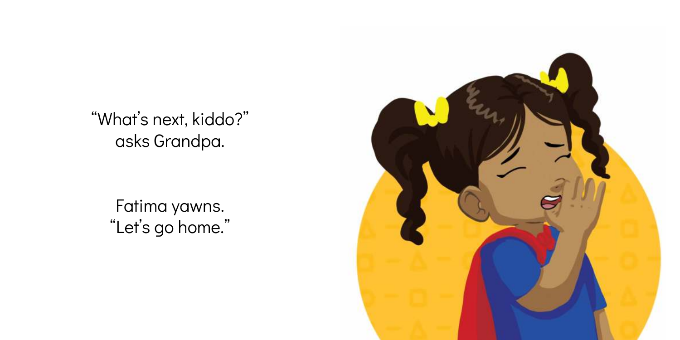"What's next, kiddo?" asks Grandpa.

> Fatima yawns. "Let's go home."

![](_page_11_Picture_2.jpeg)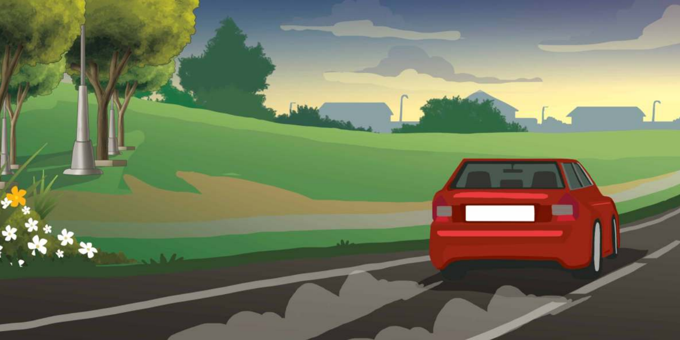![](_page_12_Picture_0.jpeg)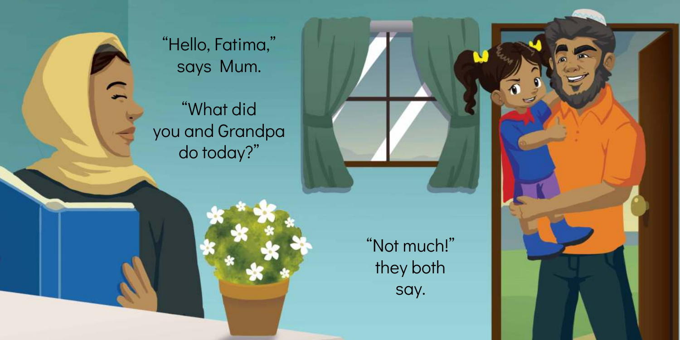"Hello, Fatima," says Mum.

"What did you and Grandpa do today?"

> "Not much!" they both say.

![](_page_13_Picture_3.jpeg)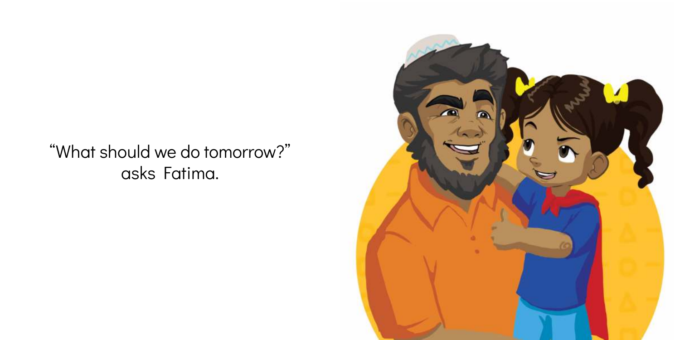### "What should we do tomorrow?" asks Fatima.

![](_page_14_Picture_1.jpeg)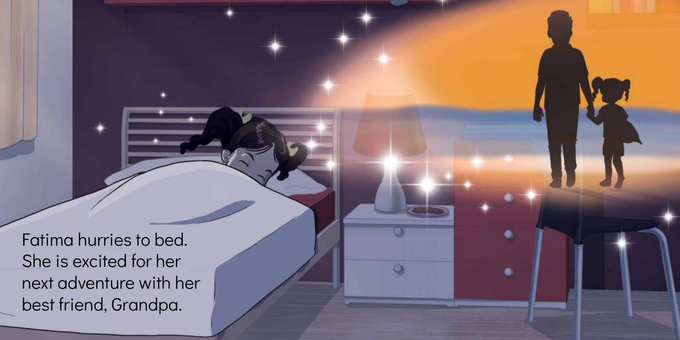Fatima hurries to bed. She is excited for her next adventure with her best friend, Grandpa.

![](_page_15_Picture_1.jpeg)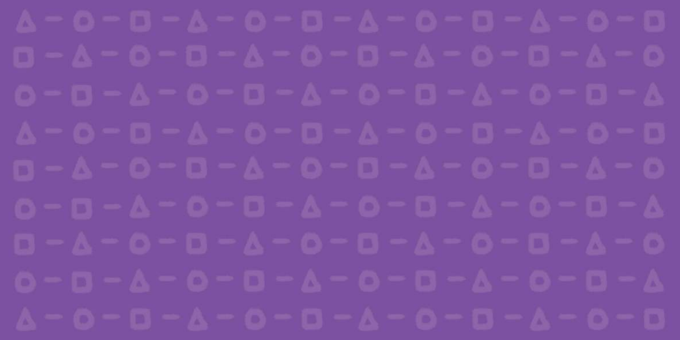![](_page_16_Picture_1.jpeg)